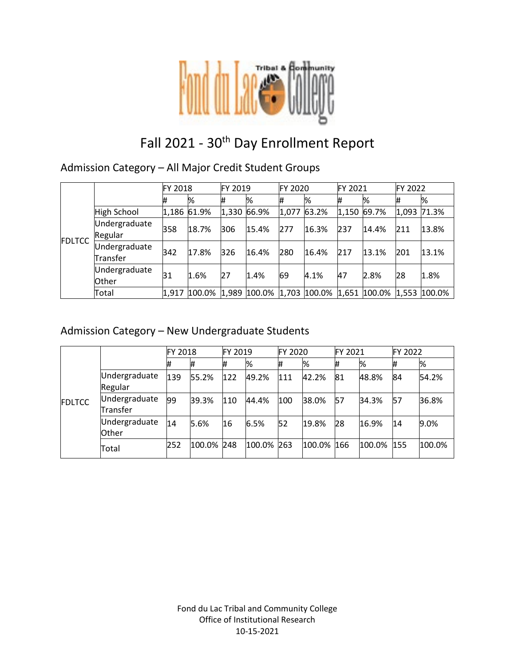

# Fall 2021 - 30<sup>th</sup> Day Enrollment Report

### Admission Category – All Major Credit Student Groups

|               |                           | FY 2018     |              | FY 2019 |       | <b>FY 2020</b> |                                                            | FY 2021 |       | FY 2022 |       |
|---------------|---------------------------|-------------|--------------|---------|-------|----------------|------------------------------------------------------------|---------|-------|---------|-------|
| <b>FDLTCC</b> |                           | #           | %            | #       | %     | 1#             | %                                                          | #       | %     | #       | %     |
|               | High School               | 1,186 61.9% |              | 1,330   | 66.9% | 1,077          | 63.2%                                                      | 1,150   | 69.7% | 1,093   | 71.3% |
|               | Undergraduate<br>Regular  | 358         | 18.7%        | 306     | 15.4% | 277            | 16.3%                                                      | 237     | 14.4% | 211     | 13.8% |
|               | Undergraduate<br>Transfer | 342         | 17.8%        | 326     | 16.4% | 280            | 16.4%                                                      | 217     | 13.1% | 201     | 13.1% |
|               | Undergraduate<br>Other    | 31          | 1.6%         | 27      | 1.4%  | 69             | 4.1%                                                       | 47      | 2.8%  | 28      | 1.8%  |
|               | Total                     |             | 1,917 100.0% |         |       |                | $ 1,989 100.0\% 1,703 100.0\% 1,651 100.0\% 1,553 100.0\%$ |         |       |         |       |

### Admission Category – New Undergraduate Students

|               |                               | FY 2018 |        | FY 2019 |            | <b>FY 2020</b> |            | FY 2021 |            | FY 2022 |        |
|---------------|-------------------------------|---------|--------|---------|------------|----------------|------------|---------|------------|---------|--------|
| <b>FDLTCC</b> |                               | #       |        | #       | %          | #              | %          | #       | %          | #       | %      |
|               | Undergraduate<br>Regular      | 139     | 55.2%  | 122     | 49.2%      | 111            | 42.2%      | 81      | 48.8%      | 84      | 54.2%  |
|               | Undergraduate<br>Transfer     | 99      | 39.3%  | 110     | 44.4%      | 100            | 38.0%      | 57      | 34.3%      | 57      | 36.8%  |
|               | Undergraduate<br><b>Other</b> | 14      | 5.6%   | 16      | 6.5%       | 52             | 19.8%      | 28      | 16.9%      | 14      | 9.0%   |
|               | Total                         | 252     | 100.0% | 248     | 100.0% 263 |                | 100.0% 166 |         | 100.0% 155 |         | 100.0% |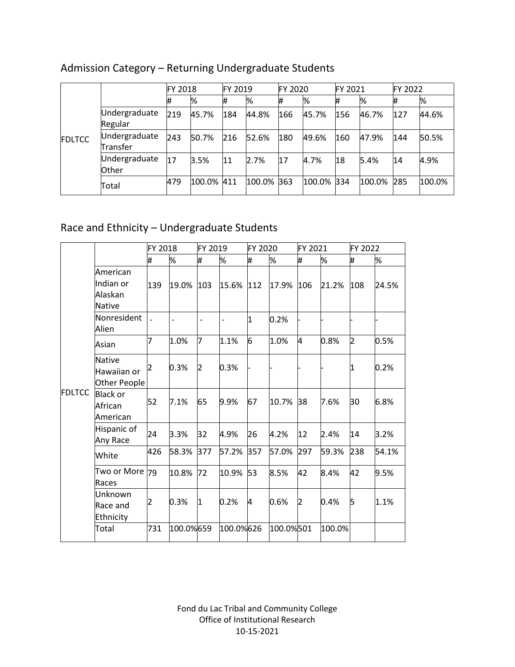|               |                           | FY 2018 |        | FY 2019 |            | FY 2020 |            | <b>FY 2021</b> |        | FY 2022 |        |
|---------------|---------------------------|---------|--------|---------|------------|---------|------------|----------------|--------|---------|--------|
| <b>FDLTCC</b> |                           | #       | %      | #       | %          |         | %          |                | %      |         | %      |
|               | Undergraduate<br>Regular  | 219     | 45.7%  | 184     | 44.8%      | 166     | 45.7%      | 156            | 46.7%  | 127     | 44.6%  |
|               | Undergraduate<br>Transfer | 243     | 50.7%  | 216     | 52.6%      | 180     | 49.6%      | 160            | 47.9%  | 144     | 50.5%  |
|               | Undergraduate<br>Other    | 17      | 3.5%   | 11      | 2.7%       | 17      | 4.7%       | 18             | 5.4%   | 14      | 4.9%   |
|               | Total                     | 479     | 100.0% | 411     | 100.0% 363 |         | 100.0% 334 |                | 100.0% | 285     | 100.0% |

# Admission Category – Returning Undergraduate Students

# Race and Ethnicity – Undergraduate Students

|               |                                                   | FY 2018 |                | FY 2019        |                | FY 2020 |           | FY 2021 |        | FY 2022 |       |
|---------------|---------------------------------------------------|---------|----------------|----------------|----------------|---------|-----------|---------|--------|---------|-------|
|               |                                                   | #       | %              | #              | %              | #       | %         | #       | %      | #       | %     |
|               | American<br>Indian or<br>Alaskan<br><b>Native</b> | 139     | 19.0%          | 103            | 15.6%          | 112     | 17.9%     | 106     | 21.2%  | 108     | 24.5% |
|               | Nonresident<br>Alien                              |         | $\overline{a}$ | $\overline{a}$ | $\overline{a}$ | 1       | 0.2%      |         |        |         |       |
|               | Asian                                             | 7       | 1.0%           | 7              | 1.1%           | 6       | 1.0%      | 4       | 0.8%   | 2       | 0.5%  |
|               | Native<br>Hawaiian or<br>Other People             | 12      | 0.3%           | 2              | 0.3%           |         |           |         |        | 1       | 0.2%  |
| <b>FDLTCC</b> | <b>Black or</b><br>African<br>American            | 52      | 7.1%           | 65             | 9.9%           | 67      | 10.7%     | 38      | 7.6%   | 30      | 6.8%  |
|               | Hispanic of<br>Any Race                           | 24      | 3.3%           | 32             | 4.9%           | 26      | 4.2%      | 12      | 2.4%   | 14      | 3.2%  |
|               | White                                             | 426     | 58.3%          | 377            | 57.2%          | 357     | 57.0%     | 297     | 59.3%  | 238     | 54.1% |
|               | Two or More<br>Races                              | 79      | 10.8%          | 72             | 10.9%          | 53      | 8.5%      | 42      | 8.4%   | 42      | 9.5%  |
|               | Unknown<br>Race and<br>Ethnicity                  | 2       | 0.3%           | 1              | 0.2%           | 4       | 0.6%      | 2       | 0.4%   | 5       | 1.1%  |
|               | Total                                             | 731     | 100.0%659      |                | 100.0%626      |         | 100.0%501 |         | 100.0% |         |       |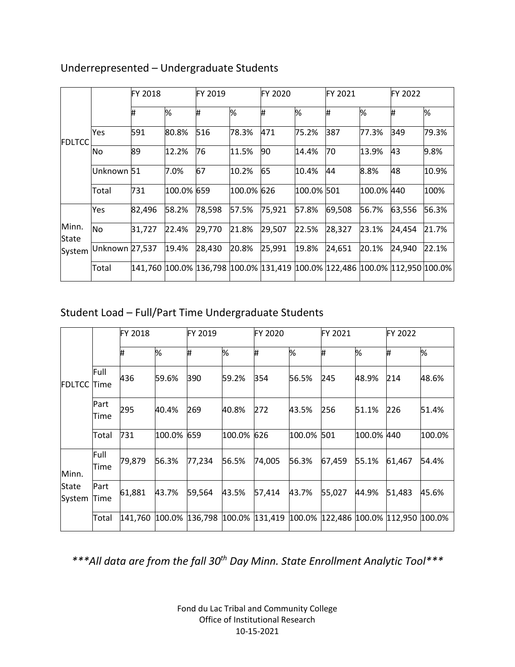|                |                | <b>FY 2018</b> |            | FY 2019 |            | <b>FY 2020</b>                                                                      |            | <b>FY 2021</b> |            | FY 2022 |       |
|----------------|----------------|----------------|------------|---------|------------|-------------------------------------------------------------------------------------|------------|----------------|------------|---------|-------|
| <b>IFDLTCC</b> |                | Ħ,             | %          | #       | %          | ₩                                                                                   | %          | ₩              | %          | #       | %     |
|                | Yes            | 591            | 80.8%      | 516     | 78.3%      | 471                                                                                 | 75.2%      | 387            | 77.3%      | 349     | 79.3% |
|                | No             | 89             | 12.2%      | 76      | 11.5%      | 90                                                                                  | 14.4%      | 70             | 13.9%      | 43      | 9.8%  |
|                | Unknown 51     |                | 7.0%       | 67      | 10.2%      | 65                                                                                  | 10.4%      | 44             | 8.8%       | 48      | 10.9% |
|                | Total          | 731            | 100.0% 659 |         | 100.0% 626 |                                                                                     | 100.0% 501 |                | 100.0% 440 |         | 100%  |
|                | Yes            | 82,496         | 58.2%      | 78,598  | 57.5%      | 75,921                                                                              | 57.8%      | 69,508         | 56.7%      | 63,556  | 56.3% |
| Minn.<br>State | No             | 31,727         | 22.4%      | 29,770  | 21.8%      | 29,507                                                                              | 22.5%      | 28,327         | 23.1%      | 24,454  | 21.7% |
| System         | Unknown 27,537 |                | 19.4%      | 28,430  | 20.8%      | 25,991                                                                              | 19.8%      | 24,651         | 20.1%      | 24,940  | 22.1% |
|                | Total          |                |            |         |            | 141,760  100.0%  136,798  100.0%  131,419  100.0%  122,486  100.0%  112,950  100.0% |            |                |            |         |       |

### Underrepresented – Undergraduate Students

# Student Load – Full/Part Time Undergraduate Students

|                        |              | <b>FY 2018</b> |            | FY 2019        |            | FY 2020                                   |        | FY 2021 |            | FY 2022 |        |
|------------------------|--------------|----------------|------------|----------------|------------|-------------------------------------------|--------|---------|------------|---------|--------|
| <b>FDLTCC Time</b>     |              | ₩              | %          | Ħ,             | %          | #                                         | %      | I#      | %          | #       | %      |
|                        | Full         | 436            | 59.6%      | 390            | 59.2%      | 354                                       | 56.5%  | 245     | 48.9%      | 214     | 48.6%  |
|                        | Part<br>Time | 295            | 40.4%      | 269            | 40.8%      | 272                                       | 43.5%  | 256     | 51.1%      | 226     | 51.4%  |
|                        | Total        | 731            | 100.0% 659 |                | 100.0% 626 |                                           | 100.0% | 501     | 100.0% 440 |         | 100.0% |
| Minn.                  | Full<br>Time | 79,879         | 56.3%      | 77,234         | 56.5%      | 74,005                                    | 56.3%  | 67,459  | 55.1%      | 61,467  | 54.4%  |
| <b>State</b><br>System | Part<br>Time | 61,881         | 43.7%      | 59,564         | 43.5%      | 57,414                                    | 43.7%  | 55,027  | 44.9%      | 51,483  | 45.6%  |
|                        | Total        | 141,760        |            | 100.0% 136,798 | 100.0%     | 131,419  100.0%  122,486  100.0%  112,950 |        |         |            |         | 100.0% |

*\*\*\*All data are from the fall 30th Day Minn. State Enrollment Analytic Tool\*\*\**

Fond du Lac Tribal and Community College Office of Institutional Research 10-15-2021